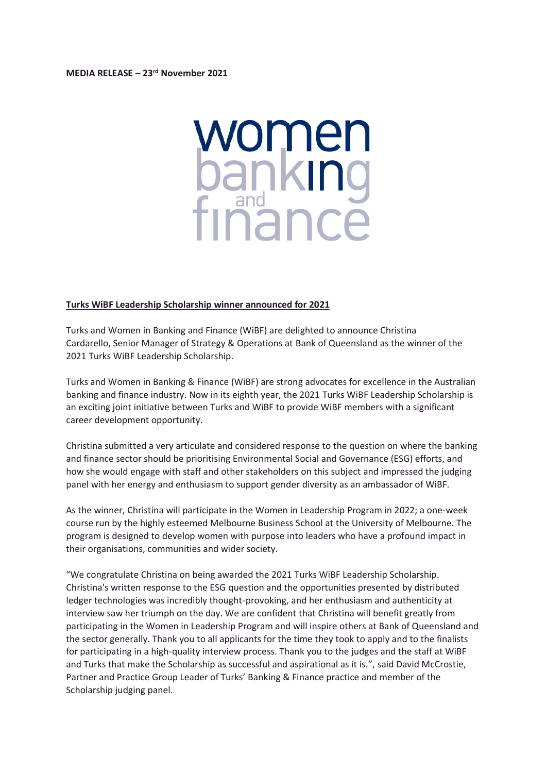

## **Turks WiBF Leadership Scholarship winner announced for 2021**

Turks and Women in Banking and Finance (WiBF) are delighted to announce Christina Cardarello, Senior Manager of Strategy & Operations at Bank of Queensland as the winner of the 2021 Turks WiBF Leadership Scholarship.

Turks and Women in Banking & Finance (WiBF) are strong advocates for excellence in the Australian banking and finance industry. Now in its eighth year, the 2021 Turks WiBF Leadership Scholarship is an exciting joint initiative between Turks and WiBF to provide WiBF members with a significant career development opportunity.

Christina submitted a very articulate and considered response to the question on where the banking and finance sector should be prioritising Environmental Social and Governance (ESG) efforts, and how she would engage with staff and other stakeholders on this subject and impressed the judging panel with her energy and enthusiasm to support gender diversity as an ambassador of WiBF.

As the winner, Christina will participate in the Women in Leadership Program in 2022; a one-week course run by the highly esteemed Melbourne Business School at the University of Melbourne. The program is designed to develop women with purpose into leaders who have a profound impact in their organisations, communities and wider society.

"We congratulate Christina on being awarded the 2021 Turks WiBF Leadership Scholarship. Christina's written response to the ESG question and the opportunities presented by distributed ledger technologies was incredibly thought-provoking, and her enthusiasm and authenticity at interview saw her triumph on the day. We are confident that Christina will benefit greatly from participating in the Women in Leadership Program and will inspire others at Bank of Queensland and the sector generally. Thank you to all applicants for the time they took to apply and to the finalists for participating in a high-quality interview process. Thank you to the judges and the staff at WiBF and Turks that make the Scholarship as successful and aspirational as it is.", said David McCrostie, Partner and Practice Group Leader of Turks' Banking & Finance practice and member of the Scholarship judging panel.